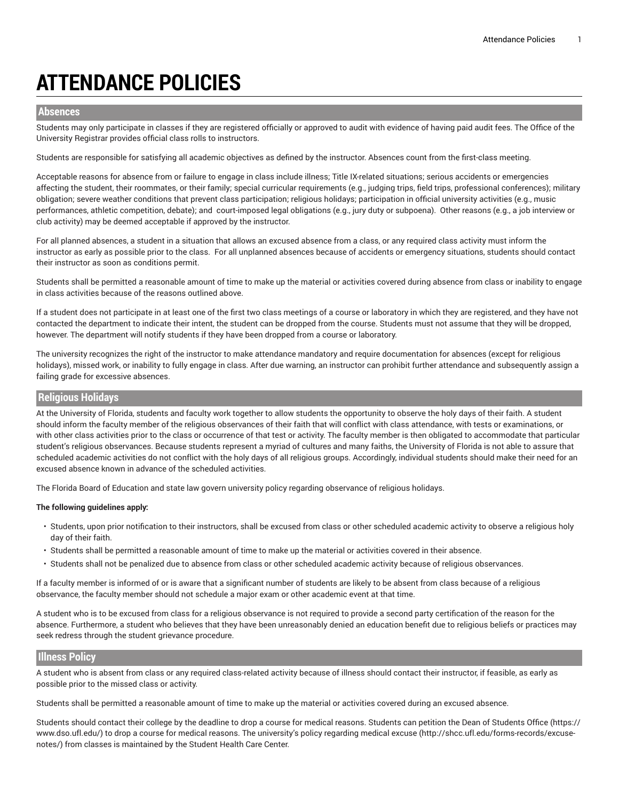# **ATTENDANCE POLICIES**

## **Absences**

Students may only participate in classes if they are registered officially or approved to audit with evidence of having paid audit fees. The Office of the University Registrar provides official class rolls to instructors.

Students are responsible for satisfying all academic objectives as defined by the instructor. Absences count from the first-class meeting.

Acceptable reasons for absence from or failure to engage in class include illness; Title IX-related situations; serious accidents or emergencies affecting the student, their roommates, or their family; special curricular requirements (e.g., judging trips, field trips, professional conferences); military obligation; severe weather conditions that prevent class participation; religious holidays; participation in official university activities (e.g., music performances, athletic competition, debate); and court-imposed legal obligations (e.g., jury duty or subpoena). Other reasons (e.g., a job interview or club activity) may be deemed acceptable if approved by the instructor.

For all planned absences, a student in a situation that allows an excused absence from a class, or any required class activity must inform the instructor as early as possible prior to the class. For all unplanned absences because of accidents or emergency situations, students should contact their instructor as soon as conditions permit.

Students shall be permitted a reasonable amount of time to make up the material or activities covered during absence from class or inability to engage in class activities because of the reasons outlined above.

If a student does not participate in at least one of the first two class meetings of a course or laboratory in which they are registered, and they have not contacted the department to indicate their intent, the student can be dropped from the course. Students must not assume that they will be dropped, however. The department will notify students if they have been dropped from a course or laboratory.

The university recognizes the right of the instructor to make attendance mandatory and require documentation for absences (except for religious holidays), missed work, or inability to fully engage in class. After due warning, an instructor can prohibit further attendance and subsequently assign a failing grade for excessive absences.

# **Religious Holidays**

At the University of Florida, students and faculty work together to allow students the opportunity to observe the holy days of their faith. A student should inform the faculty member of the religious observances of their faith that will conflict with class attendance, with tests or examinations, or with other class activities prior to the class or occurrence of that test or activity. The faculty member is then obligated to accommodate that particular student's religious observances. Because students represent a myriad of cultures and many faiths, the University of Florida is not able to assure that scheduled academic activities do not conflict with the holy days of all religious groups. Accordingly, individual students should make their need for an excused absence known in advance of the scheduled activities.

The Florida Board of Education and state law govern university policy regarding observance of religious holidays.

#### **The following guidelines apply:**

- Students, upon prior notification to their instructors, shall be excused from class or other scheduled academic activity to observe a religious holy day of their faith.
- Students shall be permitted a reasonable amount of time to make up the material or activities covered in their absence.
- Students shall not be penalized due to absence from class or other scheduled academic activity because of religious observances.

If a faculty member is informed of or is aware that a significant number of students are likely to be absent from class because of a religious observance, the faculty member should not schedule a major exam or other academic event at that time.

A student who is to be excused from class for a religious observance is not required to provide a second party certification of the reason for the absence. Furthermore, a student who believes that they have been unreasonably denied an education benefit due to religious beliefs or practices may seek redress through the student grievance procedure.

## **Illness Policy**

A student who is absent from class or any required class-related activity because of illness should contact their instructor, if feasible, as early as possible prior to the missed class or activity.

Students shall be permitted a reasonable amount of time to make up the material or activities covered during an excused absence.

Students should contact their college by the deadline to drop a course for medical reasons. Students can petition the [Dean of Students Office](https://www.dso.ufl.edu/) [\(https://](https://www.dso.ufl.edu/) [www.dso.ufl.edu/](https://www.dso.ufl.edu/)) to drop a course for medical reasons. The university's policy regarding [medical](http://shcc.ufl.edu/forms-records/excuse-notes/) excuse [\(http://shcc.ufl.edu/forms-records/excuse](http://shcc.ufl.edu/forms-records/excuse-notes/)[notes/\)](http://shcc.ufl.edu/forms-records/excuse-notes/) from classes is maintained by the Student Health Care Center.